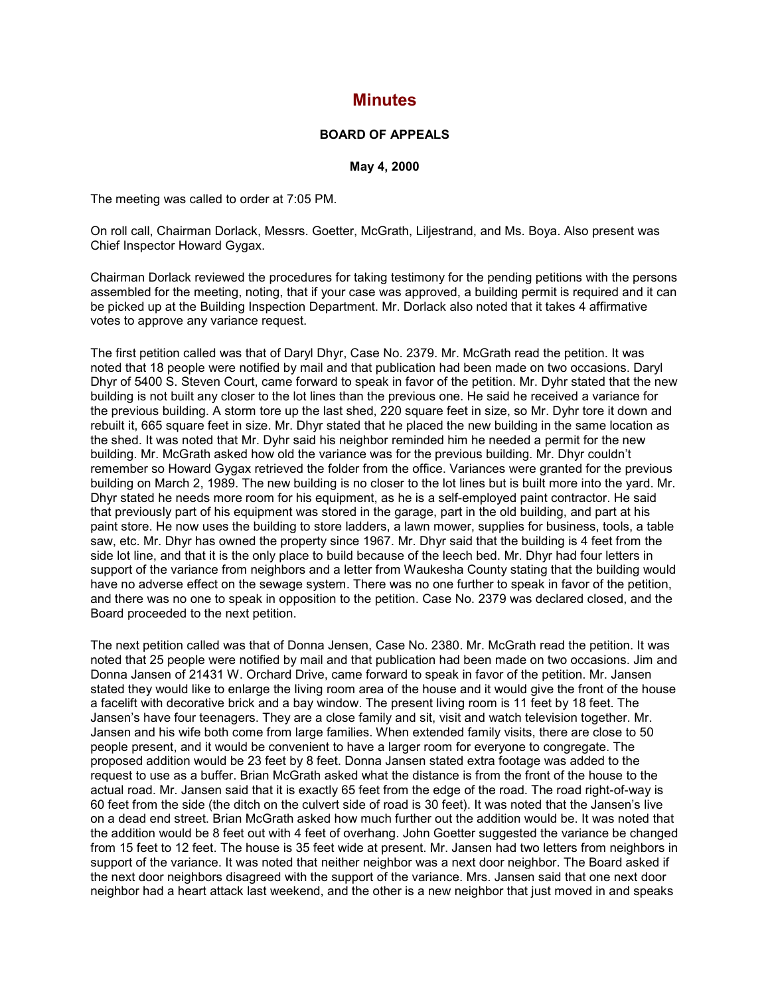## **Minutes**

## **BOARD OF APPEALS**

**May 4, 2000**

The meeting was called to order at 7:05 PM.

On roll call, Chairman Dorlack, Messrs. Goetter, McGrath, Liljestrand, and Ms. Boya. Also present was Chief Inspector Howard Gygax.

Chairman Dorlack reviewed the procedures for taking testimony for the pending petitions with the persons assembled for the meeting, noting, that if your case was approved, a building permit is required and it can be picked up at the Building Inspection Department. Mr. Dorlack also noted that it takes 4 affirmative votes to approve any variance request.

The first petition called was that of Daryl Dhyr, Case No. 2379. Mr. McGrath read the petition. It was noted that 18 people were notified by mail and that publication had been made on two occasions. Daryl Dhyr of 5400 S. Steven Court, came forward to speak in favor of the petition. Mr. Dyhr stated that the new building is not built any closer to the lot lines than the previous one. He said he received a variance for the previous building. A storm tore up the last shed, 220 square feet in size, so Mr. Dyhr tore it down and rebuilt it, 665 square feet in size. Mr. Dhyr stated that he placed the new building in the same location as the shed. It was noted that Mr. Dyhr said his neighbor reminded him he needed a permit for the new building. Mr. McGrath asked how old the variance was for the previous building. Mr. Dhyr couldn't remember so Howard Gygax retrieved the folder from the office. Variances were granted for the previous building on March 2, 1989. The new building is no closer to the lot lines but is built more into the yard. Mr. Dhyr stated he needs more room for his equipment, as he is a self-employed paint contractor. He said that previously part of his equipment was stored in the garage, part in the old building, and part at his paint store. He now uses the building to store ladders, a lawn mower, supplies for business, tools, a table saw, etc. Mr. Dhyr has owned the property since 1967. Mr. Dhyr said that the building is 4 feet from the side lot line, and that it is the only place to build because of the leech bed. Mr. Dhyr had four letters in support of the variance from neighbors and a letter from Waukesha County stating that the building would have no adverse effect on the sewage system. There was no one further to speak in favor of the petition, and there was no one to speak in opposition to the petition. Case No. 2379 was declared closed, and the Board proceeded to the next petition.

The next petition called was that of Donna Jensen, Case No. 2380. Mr. McGrath read the petition. It was noted that 25 people were notified by mail and that publication had been made on two occasions. Jim and Donna Jansen of 21431 W. Orchard Drive, came forward to speak in favor of the petition. Mr. Jansen stated they would like to enlarge the living room area of the house and it would give the front of the house a facelift with decorative brick and a bay window. The present living room is 11 feet by 18 feet. The Jansen's have four teenagers. They are a close family and sit, visit and watch television together. Mr. Jansen and his wife both come from large families. When extended family visits, there are close to 50 people present, and it would be convenient to have a larger room for everyone to congregate. The proposed addition would be 23 feet by 8 feet. Donna Jansen stated extra footage was added to the request to use as a buffer. Brian McGrath asked what the distance is from the front of the house to the actual road. Mr. Jansen said that it is exactly 65 feet from the edge of the road. The road right-of-way is 60 feet from the side (the ditch on the culvert side of road is 30 feet). It was noted that the Jansen's live on a dead end street. Brian McGrath asked how much further out the addition would be. It was noted that the addition would be 8 feet out with 4 feet of overhang. John Goetter suggested the variance be changed from 15 feet to 12 feet. The house is 35 feet wide at present. Mr. Jansen had two letters from neighbors in support of the variance. It was noted that neither neighbor was a next door neighbor. The Board asked if the next door neighbors disagreed with the support of the variance. Mrs. Jansen said that one next door neighbor had a heart attack last weekend, and the other is a new neighbor that just moved in and speaks